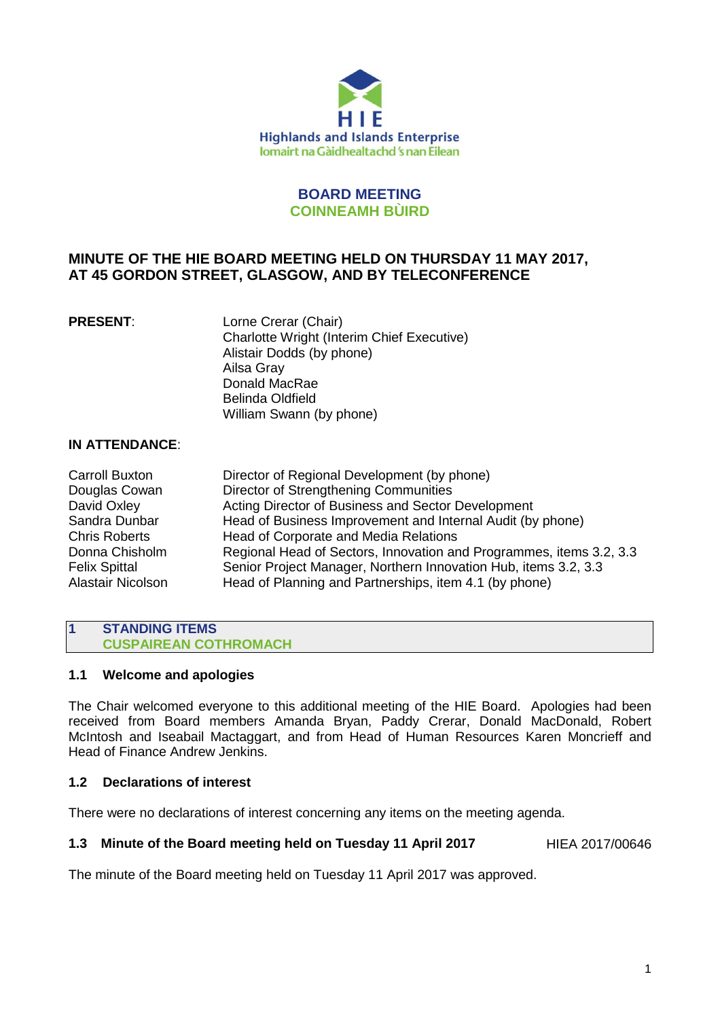

# **BOARD MEETING COINNEAMH BÙIRD**

# **MINUTE OF THE HIE BOARD MEETING HELD ON THURSDAY 11 MAY 2017, AT 45 GORDON STREET, GLASGOW, AND BY TELECONFERENCE**

**PRESENT:** Lorne Crerar (Chair) Charlotte Wright (Interim Chief Executive) Alistair Dodds (by phone) Ailsa Gray Donald MacRae Belinda Oldfield William Swann (by phone)

# **IN ATTENDANCE**:

| <b>Carroll Buxton</b>    | Director of Regional Development (by phone)                         |
|--------------------------|---------------------------------------------------------------------|
| Douglas Cowan            | Director of Strengthening Communities                               |
| David Oxley              | Acting Director of Business and Sector Development                  |
| Sandra Dunbar            | Head of Business Improvement and Internal Audit (by phone)          |
| <b>Chris Roberts</b>     | Head of Corporate and Media Relations                               |
| Donna Chisholm           | Regional Head of Sectors, Innovation and Programmes, items 3.2, 3.3 |
| <b>Felix Spittal</b>     | Senior Project Manager, Northern Innovation Hub, items 3.2, 3.3     |
| <b>Alastair Nicolson</b> | Head of Planning and Partnerships, item 4.1 (by phone)              |

#### **1 STANDING ITEMS CUSPAIREAN COTHROMACH**

### **1.1 Welcome and apologies**

The Chair welcomed everyone to this additional meeting of the HIE Board. Apologies had been received from Board members Amanda Bryan, Paddy Crerar, Donald MacDonald, Robert McIntosh and Iseabail Mactaggart, and from Head of Human Resources Karen Moncrieff and Head of Finance Andrew Jenkins.

## **1.2 Declarations of interest**

There were no declarations of interest concerning any items on the meeting agenda.

### **1.3 Minute of the Board meeting held on Tuesday 11 April 2017** HIEA 2017/00646

The minute of the Board meeting held on Tuesday 11 April 2017 was approved.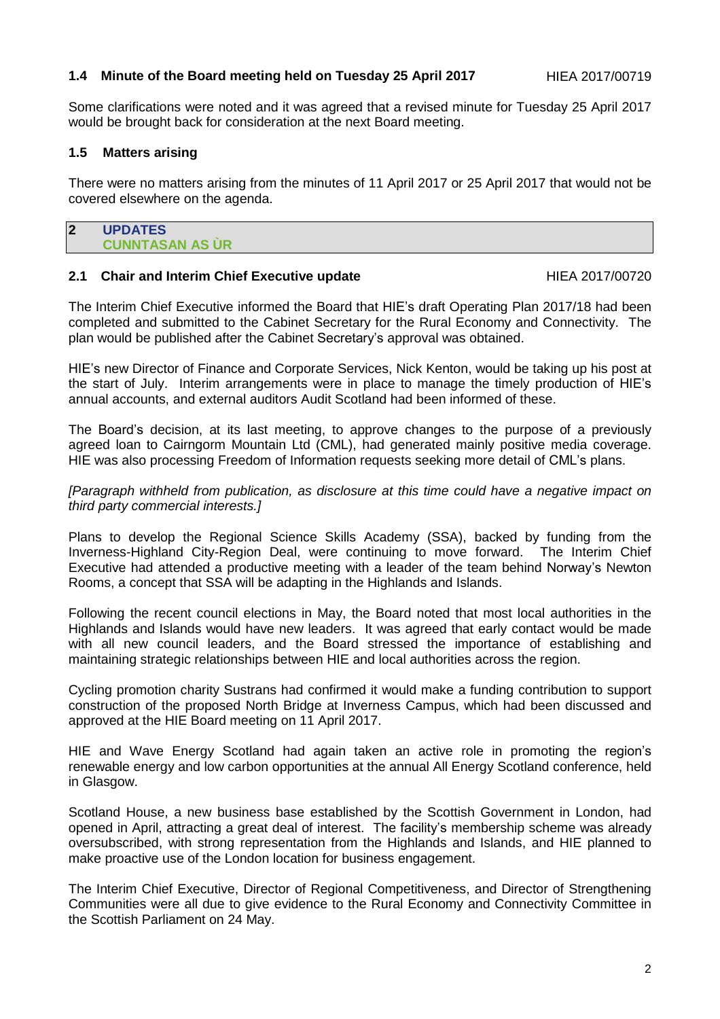#### **1.4 Minute of the Board meeting held on Tuesday 25 April 2017** HIEA 2017/00719

Some clarifications were noted and it was agreed that a revised minute for Tuesday 25 April 2017 would be brought back for consideration at the next Board meeting.

### **1.5 Matters arising**

There were no matters arising from the minutes of 11 April 2017 or 25 April 2017 that would not be covered elsewhere on the agenda.

#### **2 UPDATES CUNNTASAN AS ÙR**

#### **2.1 Chair and Interim Chief Executive update HIEA 2017/00720**

The Interim Chief Executive informed the Board that HIE's draft Operating Plan 2017/18 had been completed and submitted to the Cabinet Secretary for the Rural Economy and Connectivity. The plan would be published after the Cabinet Secretary's approval was obtained.

HIE's new Director of Finance and Corporate Services, Nick Kenton, would be taking up his post at the start of July. Interim arrangements were in place to manage the timely production of HIE's annual accounts, and external auditors Audit Scotland had been informed of these.

The Board's decision, at its last meeting, to approve changes to the purpose of a previously agreed loan to Cairngorm Mountain Ltd (CML), had generated mainly positive media coverage. HIE was also processing Freedom of Information requests seeking more detail of CML's plans.

*[Paragraph withheld from publication, as disclosure at this time could have a negative impact on third party commercial interests.]*

Plans to develop the Regional Science Skills Academy (SSA), backed by funding from the Inverness-Highland City-Region Deal, were continuing to move forward. The Interim Chief Executive had attended a productive meeting with a leader of the team behind Norway's Newton Rooms, a concept that SSA will be adapting in the Highlands and Islands.

Following the recent council elections in May, the Board noted that most local authorities in the Highlands and Islands would have new leaders. It was agreed that early contact would be made with all new council leaders, and the Board stressed the importance of establishing and maintaining strategic relationships between HIE and local authorities across the region.

Cycling promotion charity Sustrans had confirmed it would make a funding contribution to support construction of the proposed North Bridge at Inverness Campus, which had been discussed and approved at the HIE Board meeting on 11 April 2017.

HIE and Wave Energy Scotland had again taken an active role in promoting the region's renewable energy and low carbon opportunities at the annual All Energy Scotland conference, held in Glasgow.

Scotland House, a new business base established by the Scottish Government in London, had opened in April, attracting a great deal of interest. The facility's membership scheme was already oversubscribed, with strong representation from the Highlands and Islands, and HIE planned to make proactive use of the London location for business engagement.

The Interim Chief Executive, Director of Regional Competitiveness, and Director of Strengthening Communities were all due to give evidence to the Rural Economy and Connectivity Committee in the Scottish Parliament on 24 May.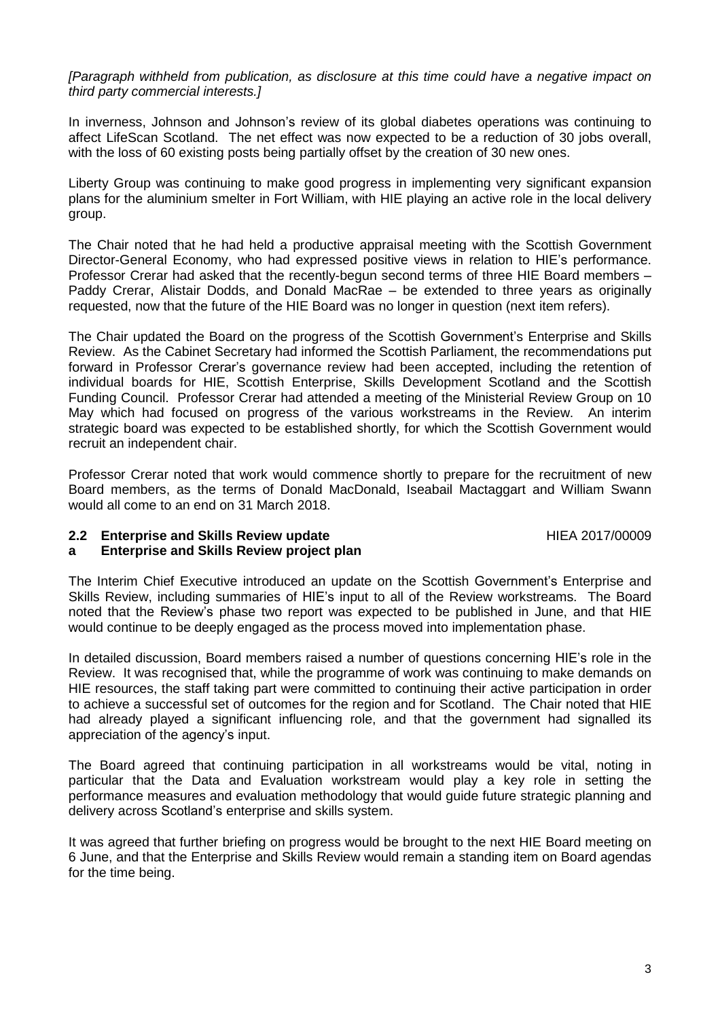*[Paragraph withheld from publication, as disclosure at this time could have a negative impact on third party commercial interests.]*

In inverness, Johnson and Johnson's review of its global diabetes operations was continuing to affect LifeScan Scotland. The net effect was now expected to be a reduction of 30 jobs overall, with the loss of 60 existing posts being partially offset by the creation of 30 new ones.

Liberty Group was continuing to make good progress in implementing very significant expansion plans for the aluminium smelter in Fort William, with HIE playing an active role in the local delivery group.

The Chair noted that he had held a productive appraisal meeting with the Scottish Government Director-General Economy, who had expressed positive views in relation to HIE's performance. Professor Crerar had asked that the recently-begun second terms of three HIE Board members – Paddy Crerar, Alistair Dodds, and Donald MacRae – be extended to three years as originally requested, now that the future of the HIE Board was no longer in question (next item refers).

The Chair updated the Board on the progress of the Scottish Government's Enterprise and Skills Review. As the Cabinet Secretary had informed the Scottish Parliament, the recommendations put forward in Professor Crerar's governance review had been accepted, including the retention of individual boards for HIE, Scottish Enterprise, Skills Development Scotland and the Scottish Funding Council. Professor Crerar had attended a meeting of the Ministerial Review Group on 10 May which had focused on progress of the various workstreams in the Review. An interim strategic board was expected to be established shortly, for which the Scottish Government would recruit an independent chair.

Professor Crerar noted that work would commence shortly to prepare for the recruitment of new Board members, as the terms of Donald MacDonald, Iseabail Mactaggart and William Swann would all come to an end on 31 March 2018.

#### **2.2 Enterprise and Skills Review update**

HIEA 2017/00009

#### **a Enterprise and Skills Review project plan**

The Interim Chief Executive introduced an update on the Scottish Government's Enterprise and Skills Review, including summaries of HIE's input to all of the Review workstreams. The Board noted that the Review's phase two report was expected to be published in June, and that HIE would continue to be deeply engaged as the process moved into implementation phase.

In detailed discussion, Board members raised a number of questions concerning HIE's role in the Review. It was recognised that, while the programme of work was continuing to make demands on HIE resources, the staff taking part were committed to continuing their active participation in order to achieve a successful set of outcomes for the region and for Scotland. The Chair noted that HIE had already played a significant influencing role, and that the government had signalled its appreciation of the agency's input.

The Board agreed that continuing participation in all workstreams would be vital, noting in particular that the Data and Evaluation workstream would play a key role in setting the performance measures and evaluation methodology that would guide future strategic planning and delivery across Scotland's enterprise and skills system.

It was agreed that further briefing on progress would be brought to the next HIE Board meeting on 6 June, and that the Enterprise and Skills Review would remain a standing item on Board agendas for the time being.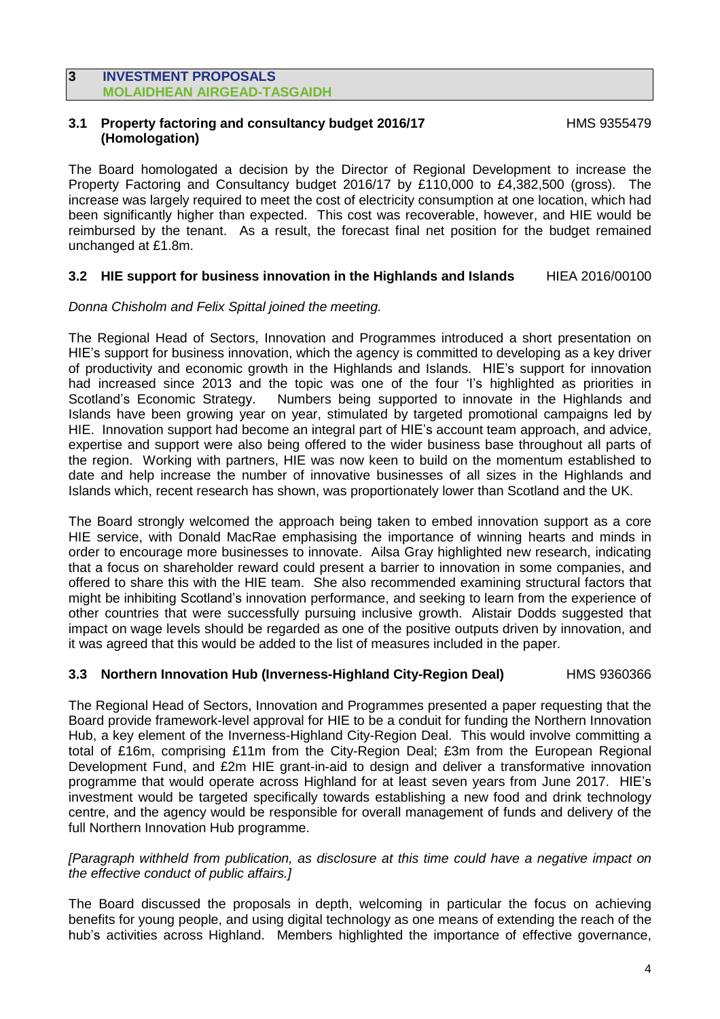#### **3 INVESTMENT PROPOSALS MOLAIDHEAN AIRGEAD-TASGAIDH**

### **3.1 Property factoring and consultancy budget 2016/17 (Homologation)**

HMS 9355479

The Board homologated a decision by the Director of Regional Development to increase the Property Factoring and Consultancy budget 2016/17 by £110,000 to £4,382,500 (gross). The increase was largely required to meet the cost of electricity consumption at one location, which had been significantly higher than expected. This cost was recoverable, however, and HIE would be reimbursed by the tenant. As a result, the forecast final net position for the budget remained unchanged at £1.8m.

### **3.2 HIE support for business innovation in the Highlands and Islands** HIEA 2016/00100

#### *Donna Chisholm and Felix Spittal joined the meeting.*

The Regional Head of Sectors, Innovation and Programmes introduced a short presentation on HIE's support for business innovation, which the agency is committed to developing as a key driver of productivity and economic growth in the Highlands and Islands. HIE's support for innovation had increased since 2013 and the topic was one of the four 'I's highlighted as priorities in Scotland's Economic Strategy. Numbers being supported to innovate in the Highlands and Islands have been growing year on year, stimulated by targeted promotional campaigns led by HIE. Innovation support had become an integral part of HIE's account team approach, and advice, expertise and support were also being offered to the wider business base throughout all parts of the region. Working with partners, HIE was now keen to build on the momentum established to date and help increase the number of innovative businesses of all sizes in the Highlands and Islands which, recent research has shown, was proportionately lower than Scotland and the UK.

The Board strongly welcomed the approach being taken to embed innovation support as a core HIE service, with Donald MacRae emphasising the importance of winning hearts and minds in order to encourage more businesses to innovate. Ailsa Gray highlighted new research, indicating that a focus on shareholder reward could present a barrier to innovation in some companies, and offered to share this with the HIE team. She also recommended examining structural factors that might be inhibiting Scotland's innovation performance, and seeking to learn from the experience of other countries that were successfully pursuing inclusive growth. Alistair Dodds suggested that impact on wage levels should be regarded as one of the positive outputs driven by innovation, and it was agreed that this would be added to the list of measures included in the paper.

## **3.3 Northern Innovation Hub (Inverness-Highland City-Region Deal)** HMS 9360366

The Regional Head of Sectors, Innovation and Programmes presented a paper requesting that the Board provide framework-level approval for HIE to be a conduit for funding the Northern Innovation Hub, a key element of the Inverness-Highland City-Region Deal. This would involve committing a total of £16m, comprising £11m from the City-Region Deal; £3m from the European Regional Development Fund, and £2m HIE grant-in-aid to design and deliver a transformative innovation programme that would operate across Highland for at least seven years from June 2017. HIE's investment would be targeted specifically towards establishing a new food and drink technology centre, and the agency would be responsible for overall management of funds and delivery of the full Northern Innovation Hub programme.

#### *[Paragraph withheld from publication, as disclosure at this time could have a negative impact on the effective conduct of public affairs.]*

The Board discussed the proposals in depth, welcoming in particular the focus on achieving benefits for young people, and using digital technology as one means of extending the reach of the hub's activities across Highland. Members highlighted the importance of effective governance,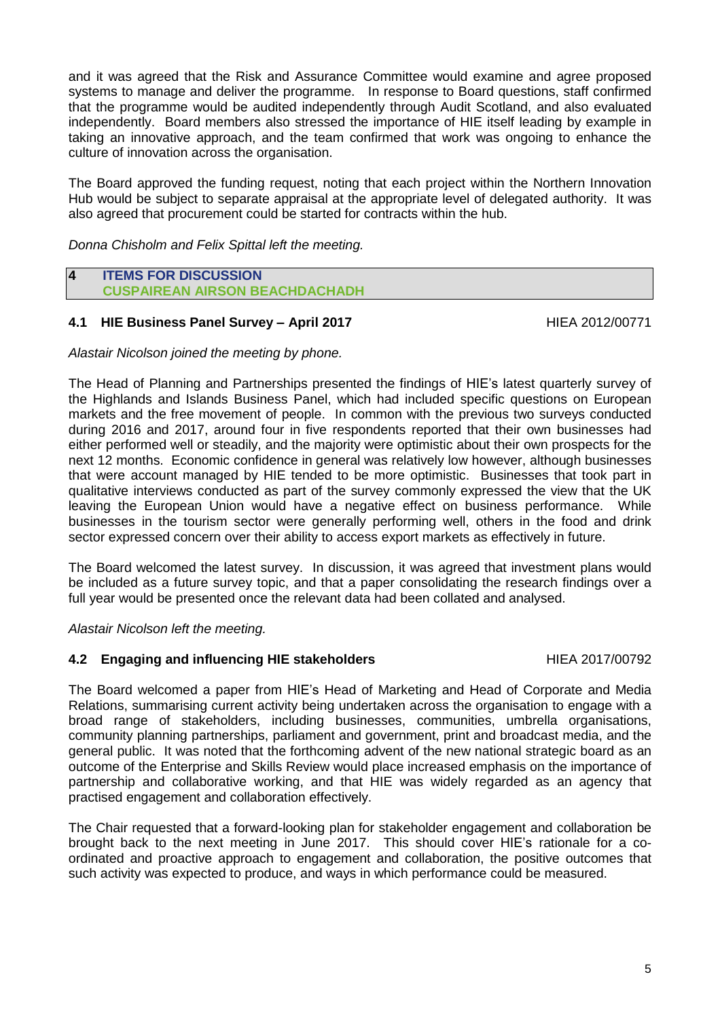and it was agreed that the Risk and Assurance Committee would examine and agree proposed systems to manage and deliver the programme. In response to Board questions, staff confirmed that the programme would be audited independently through Audit Scotland, and also evaluated independently. Board members also stressed the importance of HIE itself leading by example in taking an innovative approach, and the team confirmed that work was ongoing to enhance the culture of innovation across the organisation.

The Board approved the funding request, noting that each project within the Northern Innovation Hub would be subject to separate appraisal at the appropriate level of delegated authority. It was also agreed that procurement could be started for contracts within the hub.

*Donna Chisholm and Felix Spittal left the meeting.*

#### **4 ITEMS FOR DISCUSSION CUSPAIREAN AIRSON BEACHDACHADH**

# **4.1 HIE Business Panel Survey – April 2017** HIEA 2012/00771

### *Alastair Nicolson joined the meeting by phone.*

The Head of Planning and Partnerships presented the findings of HIE's latest quarterly survey of the Highlands and Islands Business Panel, which had included specific questions on European markets and the free movement of people. In common with the previous two surveys conducted during 2016 and 2017, around four in five respondents reported that their own businesses had either performed well or steadily, and the majority were optimistic about their own prospects for the next 12 months. Economic confidence in general was relatively low however, although businesses that were account managed by HIE tended to be more optimistic. Businesses that took part in qualitative interviews conducted as part of the survey commonly expressed the view that the UK leaving the European Union would have a negative effect on business performance. While businesses in the tourism sector were generally performing well, others in the food and drink sector expressed concern over their ability to access export markets as effectively in future.

The Board welcomed the latest survey. In discussion, it was agreed that investment plans would be included as a future survey topic, and that a paper consolidating the research findings over a full year would be presented once the relevant data had been collated and analysed.

*Alastair Nicolson left the meeting.*

### **4.2 Engaging and influencing HIE stakeholders** HIEA 2017/00792

The Board welcomed a paper from HIE's Head of Marketing and Head of Corporate and Media Relations, summarising current activity being undertaken across the organisation to engage with a broad range of stakeholders, including businesses, communities, umbrella organisations, community planning partnerships, parliament and government, print and broadcast media, and the general public. It was noted that the forthcoming advent of the new national strategic board as an outcome of the Enterprise and Skills Review would place increased emphasis on the importance of partnership and collaborative working, and that HIE was widely regarded as an agency that practised engagement and collaboration effectively.

The Chair requested that a forward-looking plan for stakeholder engagement and collaboration be brought back to the next meeting in June 2017. This should cover HIE's rationale for a coordinated and proactive approach to engagement and collaboration, the positive outcomes that such activity was expected to produce, and ways in which performance could be measured.